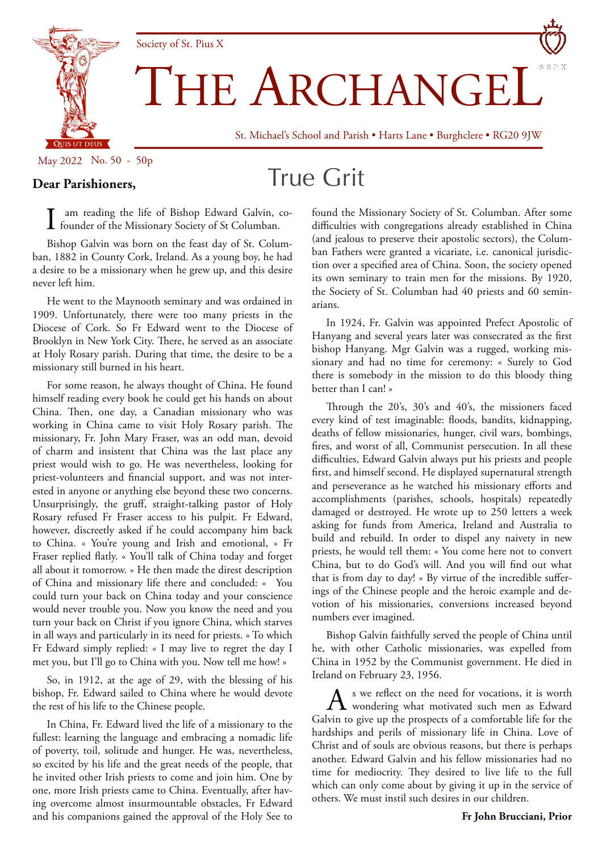

THE ARCHANGEI

St. Michael's School and Parish • Harts Lane • Burghclere • RG20 9JW

May 2022 No. 50 - 50p

## True Grit

**Dear Parishioners,**

I am reading the life of Bishop Edward Galvin, co-founder of the Missionary Society of St Columban.

Society of St. Pius X

Bishop Galvin was born on the feast day of St. Columban, 1882 in County Cork, Ireland. As a young boy, he had a desire to be a missionary when he grew up, and this desire never left him.

He went to the Maynooth seminary and was ordained in 1909. Unfortunately, there were too many priests in the Diocese of Cork. So Fr Edward went to the Diocese of Brooklyn in New York City. There, he served as an associate at Holy Rosary parish. During that time, the desire to be a missionary still burned in his heart.

For some reason, he always thought of China. He found himself reading every book he could get his hands on about China. Then, one day, a Canadian missionary who was working in China came to visit Holy Rosary parish. The missionary, Fr. John Mary Fraser, was an odd man, devoid of charm and insistent that China was the last place any priest would wish to go. He was nevertheless, looking for priest-volunteers and financial support, and was not interested in anyone or anything else beyond these two concerns. Unsurprisingly, the gruff, straight-talking pastor of Holy Rosary refused Fr Fraser access to his pulpit. Fr Edward, however, discreetly asked if he could accompany him back to China. « You're young and Irish and emotional, » Fr Fraser replied flatly. « You'll talk of China today and forget all about it tomorrow. » He then made the direst description of China and missionary life there and concluded: « You could turn your back on China today and your conscience would never trouble you. Now you know the need and you turn your back on Christ if you ignore China, which starves in all ways and particularly in its need for priests. » To which Fr Edward simply replied: « I may live to regret the day I met you, but I'll go to China with you. Now tell me how! »

So, in 1912, at the age of 29, with the blessing of his bishop, Fr. Edward sailed to China where he would devote the rest of his life to the Chinese people.

In China, Fr. Edward lived the life of a missionary to the fullest: learning the language and embracing a nomadic life of poverty, toil, solitude and hunger. He was, nevertheless, so excited by his life and the great needs of the people, that he invited other Irish priests to come and join him. One by one, more Irish priests came to China. Eventually, after having overcome almost insurmountable obstacles, Fr Edward and his companions gained the approval of the Holy See to

found the Missionary Society of St. Columban. After some difficulties with congregations already established in China (and jealous to preserve their apostolic sectors), the Columban Fathers were granted a vicariate, i.e. canonical jurisdiction over a specified area of China. Soon, the society opened its own seminary to train men for the missions. By 1920, the Society of St. Columban had 40 priests and 60 seminarians.

In 1924, Fr. Galvin was appointed Prefect Apostolic of Hanyang and several years later was consecrated as the first bishop Hanyang. Mgr Galvin was a rugged, working missionary and had no time for ceremony: « Surely to God there is somebody in the mission to do this bloody thing better than I can! »

Through the 20's, 30's and 40's, the missioners faced every kind of test imaginable: floods, bandits, kidnapping, deaths of fellow missionaries, hunger, civil wars, bombings, fires, and worst of all, Communist persecution. In all these difficulties, Edward Galvin always put his priests and people first, and himself second. He displayed supernatural strength and perseverance as he watched his missionary efforts and accomplishments (parishes, schools, hospitals) repeatedly damaged or destroyed. He wrote up to 250 letters a week asking for funds from America, Ireland and Australia to build and rebuild. In order to dispel any naivety in new priests, he would tell them: « You come here not to convert China, but to do God's will. And you will find out what that is from day to day! » By virtue of the incredible sufferings of the Chinese people and the heroic example and devotion of his missionaries, conversions increased beyond numbers ever imagined.

Bishop Galvin faithfully served the people of China until he, with other Catholic missionaries, was expelled from China in 1952 by the Communist government. He died in Ireland on February 23, 1956.

A s we reflect on the need for vocations, it is worth<br>wondering what motivated such men as Edward Galvin to give up the prospects of a comfortable life for the hardships and perils of missionary life in China. Love of Christ and of souls are obvious reasons, but there is perhaps another. Edward Galvin and his fellow missionaries had no time for mediocrity. They desired to live life to the full which can only come about by giving it up in the service of others. We must instil such desires in our children.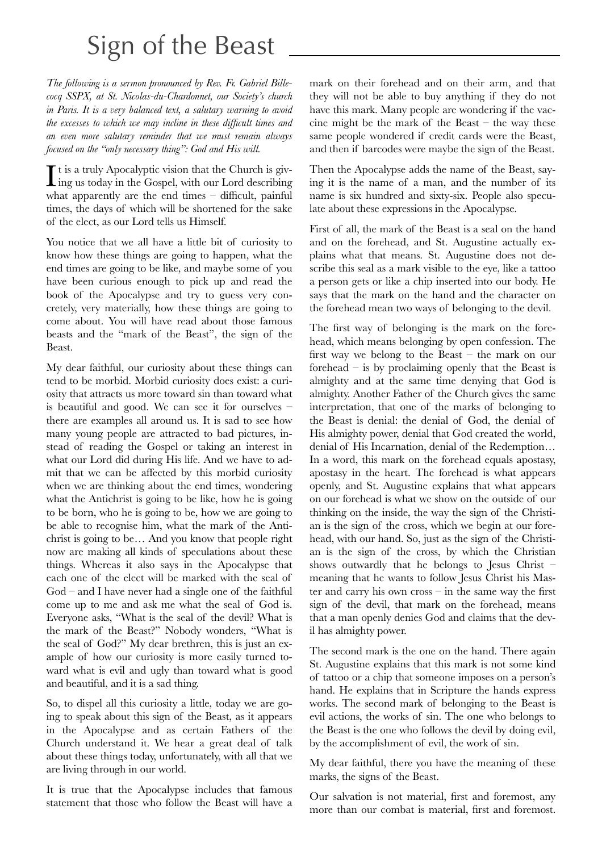## Sign of the Beast

*The following is a sermon pronounced by Rev. Fr. Gabriel Billecocq SSPX, at St. Nicolas-du-Chardonnet, our Society's church in Paris. It is a very balanced text, a salutary warning to avoid the excesses to which we may incline in these difficult times and an even more salutary reminder that we must remain always focused on the "only necessary thing": God and His will.*

It is a truly Apocalyptic vision that the Church is giving us today in the Gospel, with our Lord describing t is a truly Apocalyptic vision that the Church is givwhat apparently are the end times – difficult, painful times, the days of which will be shortened for the sake of the elect, as our Lord tells us Himself.

You notice that we all have a little bit of curiosity to know how these things are going to happen, what the end times are going to be like, and maybe some of you have been curious enough to pick up and read the book of the Apocalypse and try to guess very concretely, very materially, how these things are going to come about. You will have read about those famous beasts and the "mark of the Beast", the sign of the Beast.

My dear faithful, our curiosity about these things can tend to be morbid. Morbid curiosity does exist: a curiosity that attracts us more toward sin than toward what is beautiful and good. We can see it for ourselves – there are examples all around us. It is sad to see how many young people are attracted to bad pictures, instead of reading the Gospel or taking an interest in what our Lord did during His life. And we have to admit that we can be affected by this morbid curiosity when we are thinking about the end times, wondering what the Antichrist is going to be like, how he is going to be born, who he is going to be, how we are going to be able to recognise him, what the mark of the Antichrist is going to be… And you know that people right now are making all kinds of speculations about these things. Whereas it also says in the Apocalypse that each one of the elect will be marked with the seal of God – and I have never had a single one of the faithful come up to me and ask me what the seal of God is. Everyone asks, "What is the seal of the devil? What is the mark of the Beast?" Nobody wonders, "What is the seal of God?" My dear brethren, this is just an example of how our curiosity is more easily turned toward what is evil and ugly than toward what is good and beautiful, and it is a sad thing.

So, to dispel all this curiosity a little, today we are going to speak about this sign of the Beast, as it appears in the Apocalypse and as certain Fathers of the Church understand it. We hear a great deal of talk about these things today, unfortunately, with all that we are living through in our world.

It is true that the Apocalypse includes that famous statement that those who follow the Beast will have a mark on their forehead and on their arm, and that they will not be able to buy anything if they do not have this mark. Many people are wondering if the vaccine might be the mark of the Beast – the way these same people wondered if credit cards were the Beast, and then if barcodes were maybe the sign of the Beast.

Then the Apocalypse adds the name of the Beast, saying it is the name of a man, and the number of its name is six hundred and sixty-six. People also speculate about these expressions in the Apocalypse.

First of all, the mark of the Beast is a seal on the hand and on the forehead, and St. Augustine actually explains what that means. St. Augustine does not describe this seal as a mark visible to the eye, like a tattoo a person gets or like a chip inserted into our body. He says that the mark on the hand and the character on the forehead mean two ways of belonging to the devil.

The first way of belonging is the mark on the forehead, which means belonging by open confession. The first way we belong to the Beast – the mark on our forehead – is by proclaiming openly that the Beast is almighty and at the same time denying that God is almighty. Another Father of the Church gives the same interpretation, that one of the marks of belonging to the Beast is denial: the denial of God, the denial of His almighty power, denial that God created the world, denial of His Incarnation, denial of the Redemption… In a word, this mark on the forehead equals apostasy, apostasy in the heart. The forehead is what appears openly, and St. Augustine explains that what appears on our forehead is what we show on the outside of our thinking on the inside, the way the sign of the Christian is the sign of the cross, which we begin at our forehead, with our hand. So, just as the sign of the Christian is the sign of the cross, by which the Christian shows outwardly that he belongs to Jesus Christ – meaning that he wants to follow Jesus Christ his Master and carry his own cross – in the same way the first sign of the devil, that mark on the forehead, means that a man openly denies God and claims that the devil has almighty power.

The second mark is the one on the hand. There again St. Augustine explains that this mark is not some kind of tattoo or a chip that someone imposes on a person's hand. He explains that in Scripture the hands express works. The second mark of belonging to the Beast is evil actions, the works of sin. The one who belongs to the Beast is the one who follows the devil by doing evil, by the accomplishment of evil, the work of sin.

My dear faithful, there you have the meaning of these marks, the signs of the Beast.

Our salvation is not material, first and foremost, any more than our combat is material, first and foremost.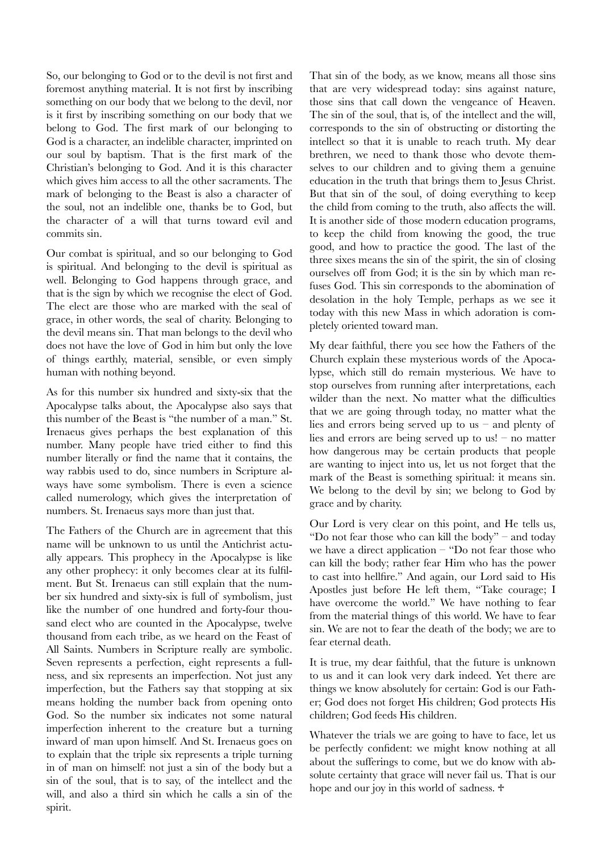So, our belonging to God or to the devil is not first and foremost anything material. It is not first by inscribing something on our body that we belong to the devil, nor is it first by inscribing something on our body that we belong to God. The first mark of our belonging to God is a character, an indelible character, imprinted on our soul by baptism. That is the first mark of the Christian's belonging to God. And it is this character which gives him access to all the other sacraments. The mark of belonging to the Beast is also a character of the soul, not an indelible one, thanks be to God, but the character of a will that turns toward evil and commits sin.

Our combat is spiritual, and so our belonging to God is spiritual. And belonging to the devil is spiritual as well. Belonging to God happens through grace, and that is the sign by which we recognise the elect of God. The elect are those who are marked with the seal of grace, in other words, the seal of charity. Belonging to the devil means sin. That man belongs to the devil who does not have the love of God in him but only the love of things earthly, material, sensible, or even simply human with nothing beyond.

As for this number six hundred and sixty-six that the Apocalypse talks about, the Apocalypse also says that this number of the Beast is "the number of a man." St. Irenaeus gives perhaps the best explanation of this number. Many people have tried either to find this number literally or find the name that it contains, the way rabbis used to do, since numbers in Scripture always have some symbolism. There is even a science called numerology, which gives the interpretation of numbers. St. Irenaeus says more than just that.

The Fathers of the Church are in agreement that this name will be unknown to us until the Antichrist actually appears. This prophecy in the Apocalypse is like any other prophecy: it only becomes clear at its fulfilment. But St. Irenaeus can still explain that the number six hundred and sixty-six is full of symbolism, just like the number of one hundred and forty-four thousand elect who are counted in the Apocalypse, twelve thousand from each tribe, as we heard on the Feast of All Saints. Numbers in Scripture really are symbolic. Seven represents a perfection, eight represents a fullness, and six represents an imperfection. Not just any imperfection, but the Fathers say that stopping at six means holding the number back from opening onto God. So the number six indicates not some natural imperfection inherent to the creature but a turning inward of man upon himself. And St. Irenaeus goes on to explain that the triple six represents a triple turning in of man on himself: not just a sin of the body but a sin of the soul, that is to say, of the intellect and the will, and also a third sin which he calls a sin of the spirit.

That sin of the body, as we know, means all those sins that are very widespread today: sins against nature, those sins that call down the vengeance of Heaven. The sin of the soul, that is, of the intellect and the will, corresponds to the sin of obstructing or distorting the intellect so that it is unable to reach truth. My dear brethren, we need to thank those who devote themselves to our children and to giving them a genuine education in the truth that brings them to Jesus Christ. But that sin of the soul, of doing everything to keep the child from coming to the truth, also affects the will. It is another side of those modern education programs, to keep the child from knowing the good, the true good, and how to practice the good. The last of the three sixes means the sin of the spirit, the sin of closing ourselves off from God; it is the sin by which man refuses God. This sin corresponds to the abomination of desolation in the holy Temple, perhaps as we see it today with this new Mass in which adoration is completely oriented toward man.

My dear faithful, there you see how the Fathers of the Church explain these mysterious words of the Apocalypse, which still do remain mysterious. We have to stop ourselves from running after interpretations, each wilder than the next. No matter what the difficulties that we are going through today, no matter what the lies and errors being served up to us – and plenty of lies and errors are being served up to us! – no matter how dangerous may be certain products that people are wanting to inject into us, let us not forget that the mark of the Beast is something spiritual: it means sin. We belong to the devil by sin; we belong to God by grace and by charity.

Our Lord is very clear on this point, and He tells us, "Do not fear those who can kill the body" – and today we have a direct application – "Do not fear those who can kill the body; rather fear Him who has the power to cast into hellfire." And again, our Lord said to His Apostles just before He left them, "Take courage; I have overcome the world." We have nothing to fear from the material things of this world. We have to fear sin. We are not to fear the death of the body; we are to fear eternal death.

It is true, my dear faithful, that the future is unknown to us and it can look very dark indeed. Yet there are things we know absolutely for certain: God is our Father; God does not forget His children; God protects His children; God feeds His children.

Whatever the trials we are going to have to face, let us be perfectly confident: we might know nothing at all about the sufferings to come, but we do know with absolute certainty that grace will never fail us. That is our hope and our joy in this world of sadness.  $\ddagger$